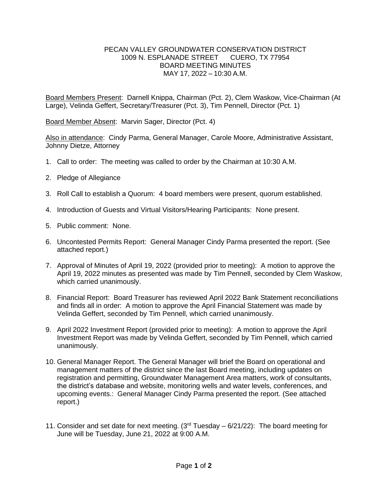## PECAN VALLEY GROUNDWATER CONSERVATION DISTRICT 1009 N. ESPLANADE STREET CUERO, TX 77954 BOARD MEETING MINUTES MAY 17, 2022 – 10:30 A.M.

Board Members Present: Darnell Knippa, Chairman (Pct. 2), Clem Waskow, Vice-Chairman (At Large), Velinda Geffert, Secretary/Treasurer (Pct. 3), Tim Pennell, Director (Pct. 1)

Board Member Absent: Marvin Sager, Director (Pct. 4)

Also in attendance: Cindy Parma, General Manager, Carole Moore, Administrative Assistant, Johnny Dietze, Attorney

- 1. Call to order: The meeting was called to order by the Chairman at 10:30 A.M.
- 2. Pledge of Allegiance
- 3. Roll Call to establish a Quorum: 4 board members were present, quorum established.
- 4. Introduction of Guests and Virtual Visitors/Hearing Participants: None present.
- 5. Public comment: None.
- 6. Uncontested Permits Report: General Manager Cindy Parma presented the report. (See attached report.)
- 7. Approval of Minutes of April 19, 2022 (provided prior to meeting): A motion to approve the April 19, 2022 minutes as presented was made by Tim Pennell, seconded by Clem Waskow, which carried unanimously.
- 8. Financial Report: Board Treasurer has reviewed April 2022 Bank Statement reconciliations and finds all in order: A motion to approve the April Financial Statement was made by Velinda Geffert, seconded by Tim Pennell, which carried unanimously.
- 9. April 2022 Investment Report (provided prior to meeting): A motion to approve the April Investment Report was made by Velinda Geffert, seconded by Tim Pennell, which carried unanimously.
- 10. General Manager Report. The General Manager will brief the Board on operational and management matters of the district since the last Board meeting, including updates on registration and permitting, Groundwater Management Area matters, work of consultants, the district's database and website, monitoring wells and water levels, conferences, and upcoming events.: General Manager Cindy Parma presented the report. (See attached report.)
- 11. Consider and set date for next meeting.  $(3^{rd}$  Tuesday 6/21/22): The board meeting for June will be Tuesday, June 21, 2022 at 9:00 A.M.